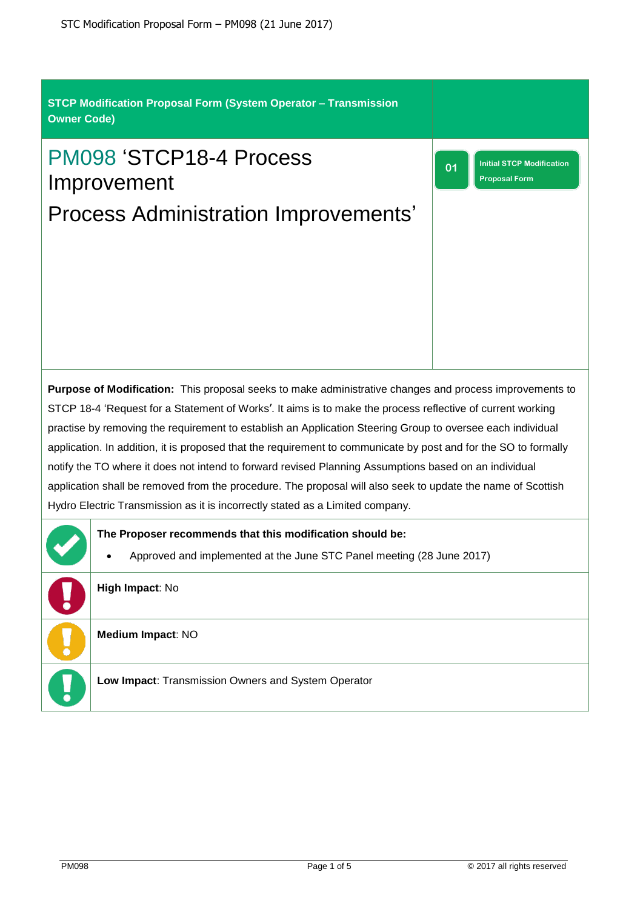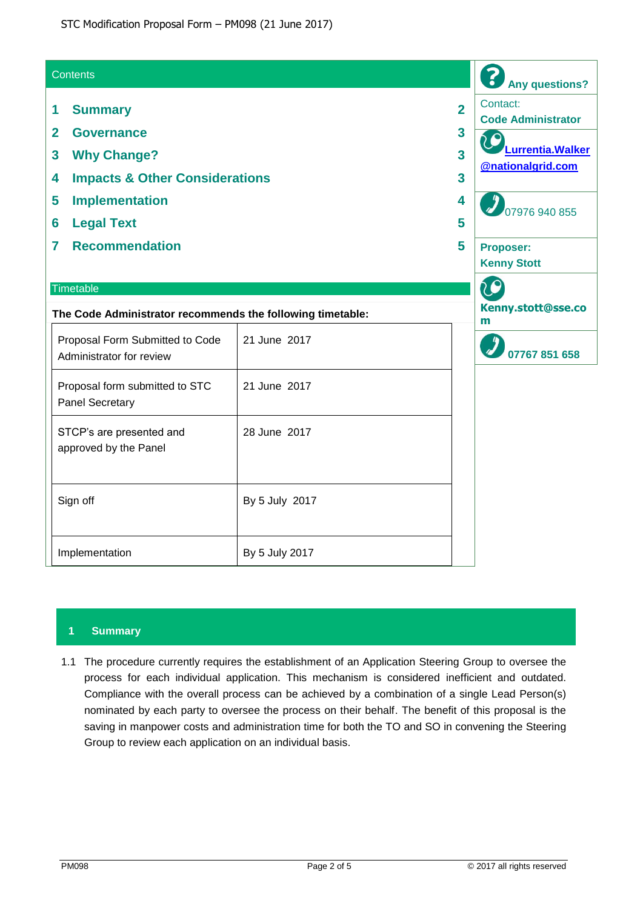| <b>Contents</b>                                                                                                                         |                | <b>Any questions?</b>                                                                                                                         |
|-----------------------------------------------------------------------------------------------------------------------------------------|----------------|-----------------------------------------------------------------------------------------------------------------------------------------------|
| <b>Summary</b><br>1<br><b>Governance</b><br>$\overline{2}$<br><b>Why Change?</b><br>3<br><b>Impacts &amp; Other Considerations</b><br>4 |                | Contact:<br>$\overline{2}$<br><b>Code Administrator</b><br>3<br>Lurrentia. Walker<br>$\overline{\mathbf{3}}$<br><b>@nationalgrid.com</b><br>3 |
| <b>Implementation</b><br>5<br><b>Legal Text</b><br>6                                                                                    |                | 4<br>07976 940 855<br>5                                                                                                                       |
| <b>Recommendation</b><br>7                                                                                                              |                | 5<br><b>Proposer:</b><br><b>Kenny Stott</b>                                                                                                   |
| Timetable<br>The Code Administrator recommends the following timetable:                                                                 |                | 20<br>Kenny.stott@sse.co<br>m                                                                                                                 |
| Proposal Form Submitted to Code<br>Administrator for review                                                                             | 21 June 2017   | 07767 851 658                                                                                                                                 |
| Proposal form submitted to STC<br><b>Panel Secretary</b>                                                                                | 21 June 2017   |                                                                                                                                               |
| STCP's are presented and<br>approved by the Panel                                                                                       | 28 June 2017   |                                                                                                                                               |
| Sign off                                                                                                                                | By 5 July 2017 |                                                                                                                                               |
| Implementation                                                                                                                          | By 5 July 2017 |                                                                                                                                               |

# **1 Summary**

1.1 The procedure currently requires the establishment of an Application Steering Group to oversee the process for each individual application. This mechanism is considered inefficient and outdated. Compliance with the overall process can be achieved by a combination of a single Lead Person(s) nominated by each party to oversee the process on their behalf. The benefit of this proposal is the saving in manpower costs and administration time for both the TO and SO in convening the Steering Group to review each application on an individual basis.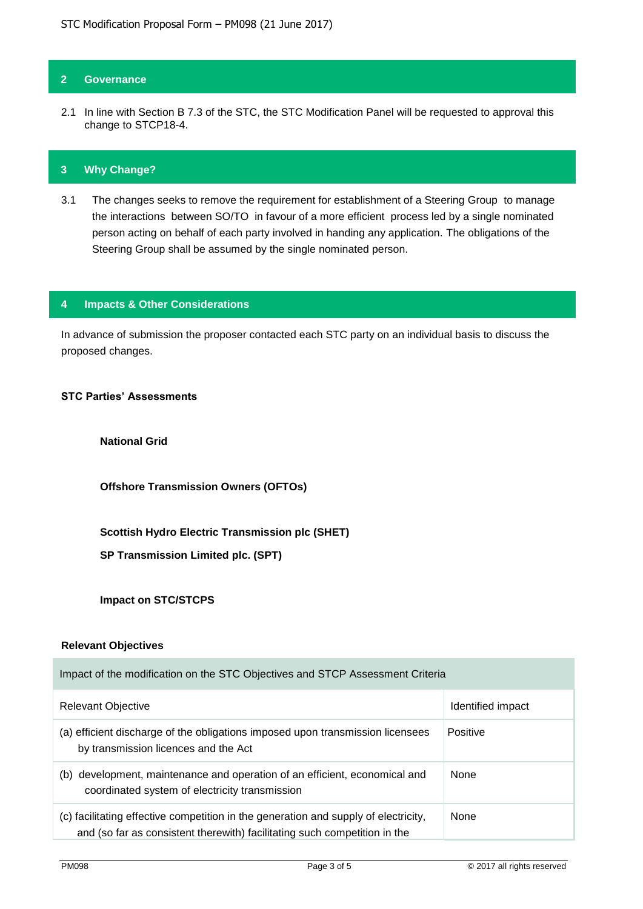### **2 Governance**

2.1 In line with Section B 7.3 of the STC, the STC Modification Panel will be requested to approval this change to STCP18-4.

#### **3 Why Change?**

3.1 The changes seeks to remove the requirement for establishment of a Steering Group to manage the interactions between SO/TO in favour of a more efficient process led by a single nominated person acting on behalf of each party involved in handing any application. The obligations of the Steering Group shall be assumed by the single nominated person.

#### **4 Impacts & Other Considerations**

In advance of submission the proposer contacted each STC party on an individual basis to discuss the proposed changes.

## **STC Parties' Assessments**

**National Grid** 

**Offshore Transmission Owners (OFTOs)**

**Scottish Hydro Electric Transmission plc (SHET)**

**SP Transmission Limited plc. (SPT)**

**Impact on STC/STCPS**

### **Relevant Objectives**

| Impact of the modification on the STC Objectives and STCP Assessment Criteria                                                                                    |                   |  |
|------------------------------------------------------------------------------------------------------------------------------------------------------------------|-------------------|--|
| Relevant Objective                                                                                                                                               | Identified impact |  |
| (a) efficient discharge of the obligations imposed upon transmission licensees<br>by transmission licences and the Act                                           | Positive          |  |
| development, maintenance and operation of an efficient, economical and<br>(b)<br>coordinated system of electricity transmission                                  | None              |  |
| (c) facilitating effective competition in the generation and supply of electricity,<br>and (so far as consistent therewith) facilitating such competition in the | None              |  |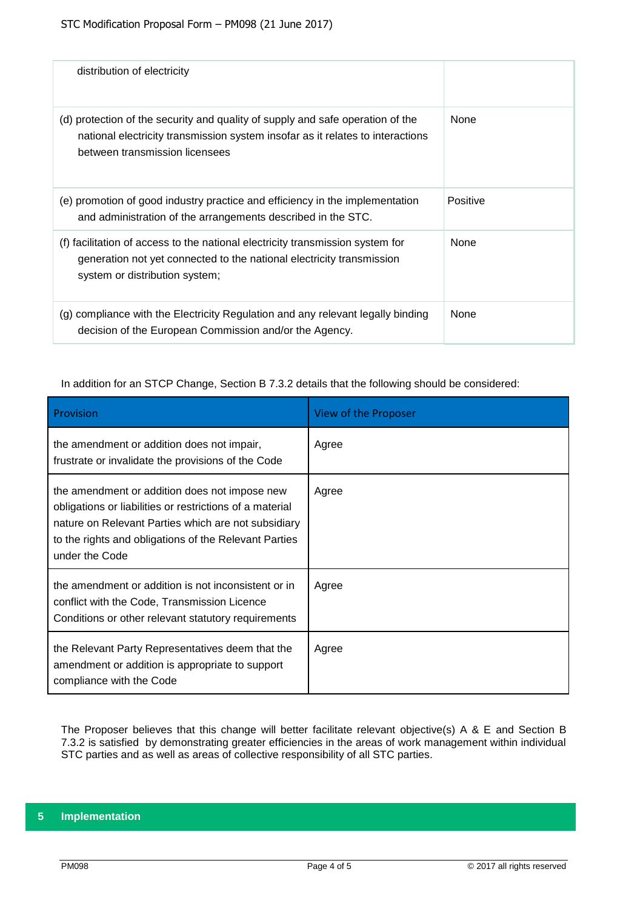| distribution of electricity                                                                                                                                                                        |             |
|----------------------------------------------------------------------------------------------------------------------------------------------------------------------------------------------------|-------------|
| (d) protection of the security and quality of supply and safe operation of the<br>national electricity transmission system insofar as it relates to interactions<br>between transmission licensees | <b>None</b> |
| (e) promotion of good industry practice and efficiency in the implementation<br>and administration of the arrangements described in the STC.                                                       | Positive    |
| (f) facilitation of access to the national electricity transmission system for<br>generation not yet connected to the national electricity transmission<br>system or distribution system;          | <b>None</b> |
| (g) compliance with the Electricity Regulation and any relevant legally binding<br>decision of the European Commission and/or the Agency.                                                          | None        |

### In addition for an STCP Change, Section B 7.3.2 details that the following should be considered:

| Provision                                                                                                                                                                                                                                   | View of the Proposer |
|---------------------------------------------------------------------------------------------------------------------------------------------------------------------------------------------------------------------------------------------|----------------------|
| the amendment or addition does not impair,<br>frustrate or invalidate the provisions of the Code                                                                                                                                            | Agree                |
| the amendment or addition does not impose new<br>obligations or liabilities or restrictions of a material<br>nature on Relevant Parties which are not subsidiary<br>to the rights and obligations of the Relevant Parties<br>under the Code | Agree                |
| the amendment or addition is not inconsistent or in<br>conflict with the Code, Transmission Licence<br>Conditions or other relevant statutory requirements                                                                                  | Agree                |
| the Relevant Party Representatives deem that the<br>amendment or addition is appropriate to support<br>compliance with the Code                                                                                                             | Agree                |

The Proposer believes that this change will better facilitate relevant objective(s) A & E and Section B 7.3.2 is satisfied by demonstrating greater efficiencies in the areas of work management within individual STC parties and as well as areas of collective responsibility of all STC parties.